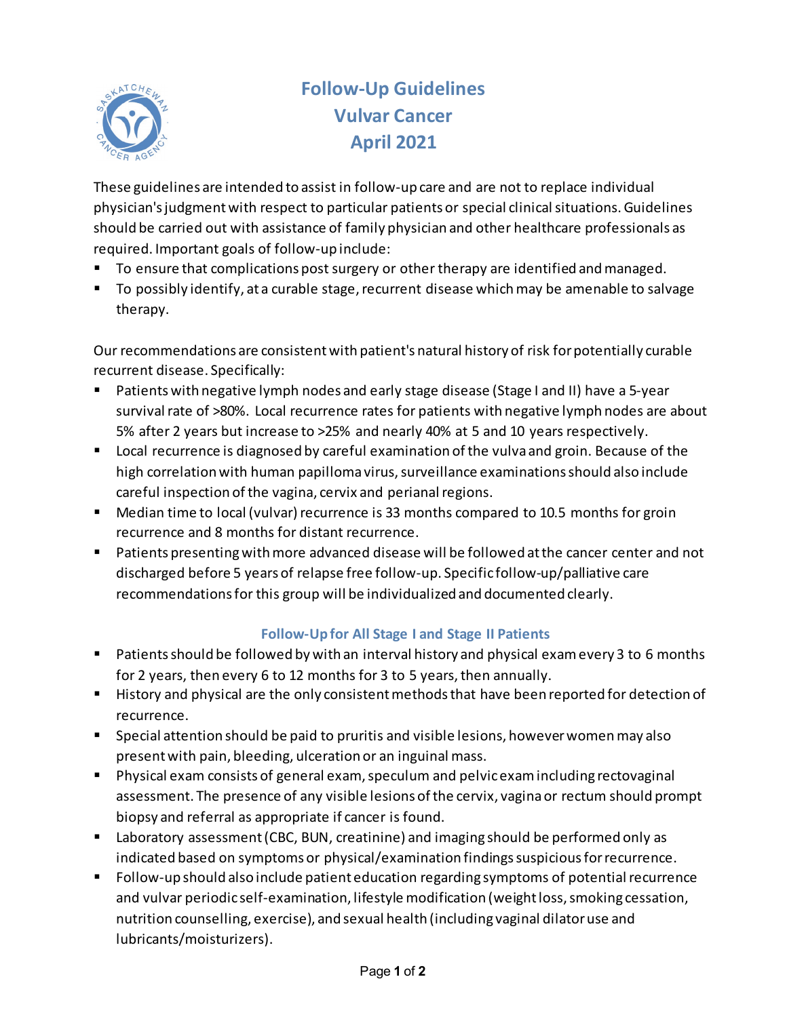

# **Follow-Up Guidelines Vulvar Cancer April 2021**

These guidelines are intended to assist in follow-up care and are not to replace individual physician's judgment with respect to particular patients or special clinical situations. Guidelines should be carried out with assistance of family physician and other healthcare professionals as required. Important goals of follow-up include:

- To ensure that complications post surgery or other therapy are identified and managed.
- To possibly identify, at a curable stage, recurrent disease which may be amenable to salvage therapy.

Our recommendations are consistent with patient's natural history of risk for potentially curable recurrent disease. Specifically:

- Patients with negative lymph nodes and early stage disease (Stage I and II) have a 5-year survival rate of >80%. Local recurrence rates for patients with negative lymph nodes are about 5% after 2 years but increase to >25% and nearly 40% at 5 and 10 years respectively.
- **Local recurrence is diagnosed by careful examination of the vulva and groin. Because of the** high correlation with human papilloma virus, surveillance examinations should also include careful inspection of the vagina, cervix and perianal regions.
- Median time to local (vulvar) recurrence is 33 months compared to 10.5 months for groin recurrence and 8 months for distant recurrence.
- **Patients presenting with more advanced disease will be followed at the cancer center and not** discharged before 5 years of relapse free follow-up. Specific follow-up/palliative care recommendations for this group will be individualized and documented clearly.

# **Follow-Up for All Stage I and Stage II Patients**

- **Patients should be followed by with an interval history and physical exam every 3 to 6 months** for 2 years, then every 6 to 12 months for 3 to 5 years, then annually.
- History and physical are the only consistent methods that have been reported for detection of recurrence.
- Special attention should be paid to pruritis and visible lesions, however women may also present with pain, bleeding, ulceration or an inguinal mass.
- Physical exam consists of general exam, speculum and pelvic examincluding rectovaginal assessment. The presence of any visible lesions of the cervix, vagina or rectum should prompt biopsy and referral as appropriate if cancer is found.
- Laboratory assessment (CBC, BUN, creatinine) and imaging should be performed only as indicated based on symptoms or physical/examination findings suspicious for recurrence.
- Follow-up should also include patient education regarding symptoms of potential recurrence and vulvar periodic self-examination, lifestyle modification (weight loss, smoking cessation, nutrition counselling, exercise), and sexual health (including vaginal dilator use and lubricants/moisturizers).